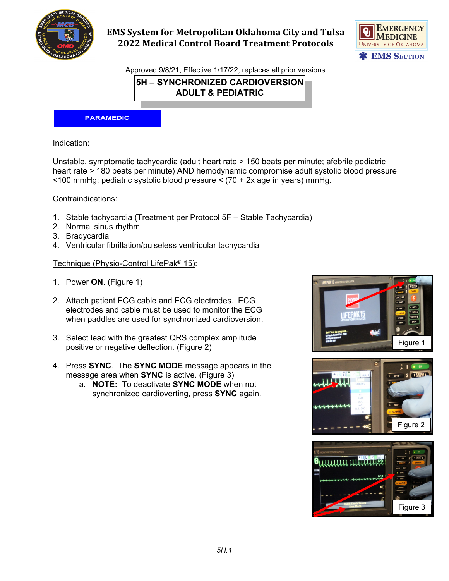

# **EMS System for Metropolitan Oklahoma City and Tulsa 2022 Medical Control Board Treatment Protocols**



Approved 9/8/21, Effective 1/17/22, replaces all prior versions

**5H – SYNCHRONIZED CARDIOVERSION ADULT & PEDIATRIC**

#### **PARAMEDIC**

### Indication:

Unstable, symptomatic tachycardia (adult heart rate > 150 beats per minute; afebrile pediatric heart rate > 180 beats per minute) AND hemodynamic compromise adult systolic blood pressure <100 mmHg; pediatric systolic blood pressure < (70 + 2x age in years) mmHg.

#### Contraindications:

- 1. Stable tachycardia (Treatment per Protocol 5F Stable Tachycardia)
- 2. Normal sinus rhythm
- 3. Bradycardia
- 4. Ventricular fibrillation/pulseless ventricular tachycardia

### Technique (Physio-Control LifePak® 15):

- 1. Power **ON**. (Figure 1)
- 2. Attach patient ECG cable and ECG electrodes. ECG electrodes and cable must be used to monitor the ECG when paddles are used for synchronized cardioversion.
- 3. Select lead with the greatest QRS complex amplitude positive or negative deflection. (Figure 2)
- 4. Press **SYNC**. The **SYNC MODE** message appears in the message area when **SYNC** is active. (Figure 3)
	- a. **NOTE:** To deactivate **SYNC MODE** when not synchronized cardioverting, press **SYNC** again.





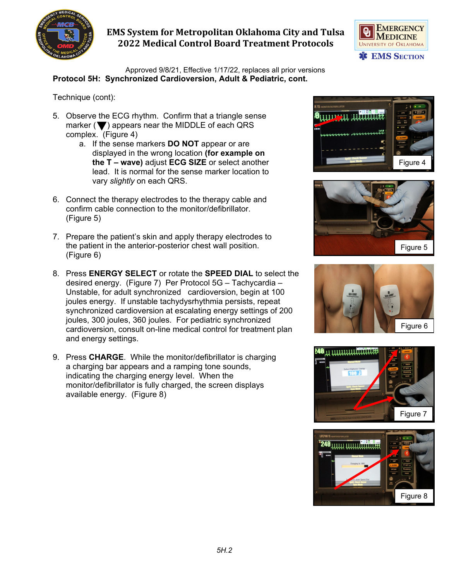

## **EMS System for Metropolitan Oklahoma City and Tulsa 2022 Medical Control Board Treatment Protocols**



Approved 9/8/21, Effective 1/17/22, replaces all prior versions **Protocol 5H: Synchronized Cardioversion, Adult & Pediatric, cont.**

Technique (cont):

- 5. Observe the ECG rhythm. Confirm that a triangle sense marker  $(\blacktriangledown)$  appears near the MIDDLE of each QRS complex. (Figure 4)
	- a. If the sense markers **DO NOT** appear or are displayed in the wrong location **(for example on the T – wave)** adjust **ECG SIZE** or select another lead. It is normal for the sense marker location to vary *slightly* on each QRS.
- 6. Connect the therapy electrodes to the therapy cable and confirm cable connection to the monitor/defibrillator. (Figure 5)
- 7. Prepare the patient's skin and apply therapy electrodes to the patient in the anterior-posterior chest wall position. (Figure 6)
- 8. Press **ENERGY SELECT** or rotate the **SPEED DIAL** to select the desired energy. (Figure 7) Per Protocol 5G – Tachycardia – Unstable, for adult synchronized cardioversion, begin at 100 joules energy. If unstable tachydysrhythmia persists, repeat synchronized cardioversion at escalating energy settings of 200 joules, 300 joules, 360 joules. For pediatric synchronized cardioversion, consult on-line medical control for treatment plan and energy settings.
- 9. Press **CHARGE**. While the monitor/defibrillator is charging a charging bar appears and a ramping tone sounds, indicating the charging energy level. When the monitor/defibrillator is fully charged, the screen displays available energy. (Figure 8)